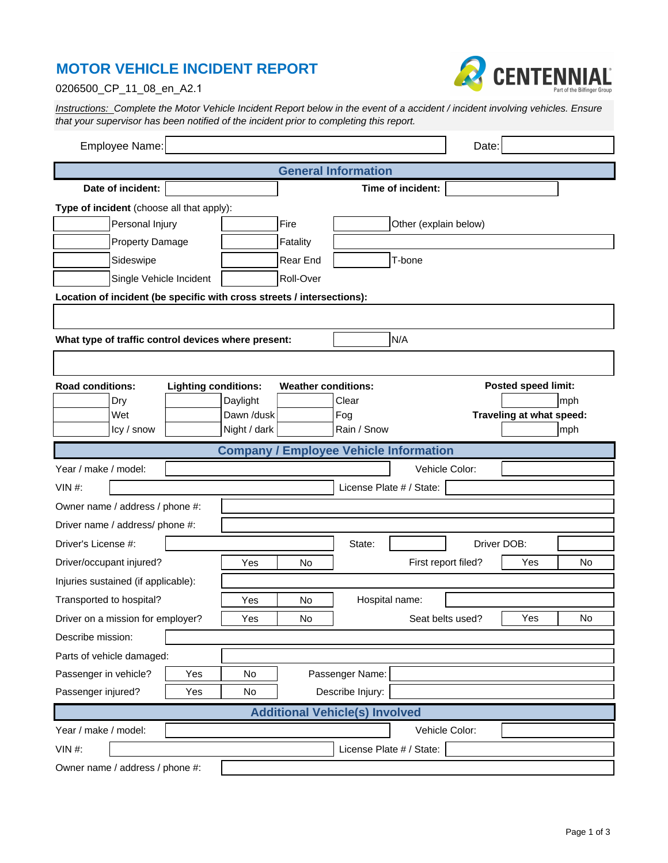## **MOTOR VEHICLE INCIDENT REPORT**



## 0206500\_CP\_11\_08\_en\_A2.1

Instructions: Complete the Motor Vehicle Incident Report below in the event of a accident / incident involving vehicles. Ensure<br>that your supervisor has been notified of the incident prior to completing this report.

|                                                                        | Employee Name:    |                             |                               |                            |                            |                          | Date: |                            |     |  |
|------------------------------------------------------------------------|-------------------|-----------------------------|-------------------------------|----------------------------|----------------------------|--------------------------|-------|----------------------------|-----|--|
|                                                                        |                   |                             |                               |                            | <b>General Information</b> |                          |       |                            |     |  |
|                                                                        | Date of incident: |                             |                               |                            |                            | Time of incident:        |       |                            |     |  |
| Type of incident (choose all that apply):                              |                   |                             |                               |                            |                            |                          |       |                            |     |  |
| Personal Injury                                                        |                   |                             | Fire<br>Other (explain below) |                            |                            |                          |       |                            |     |  |
| <b>Property Damage</b>                                                 |                   |                             |                               | Fatality                   |                            |                          |       |                            |     |  |
| Sideswipe                                                              |                   |                             |                               | T-bone<br>Rear End         |                            |                          |       |                            |     |  |
| Roll-Over<br>Single Vehicle Incident                                   |                   |                             |                               |                            |                            |                          |       |                            |     |  |
| Location of incident (be specific with cross streets / intersections): |                   |                             |                               |                            |                            |                          |       |                            |     |  |
|                                                                        |                   |                             |                               |                            |                            |                          |       |                            |     |  |
| N/A<br>What type of traffic control devices where present:             |                   |                             |                               |                            |                            |                          |       |                            |     |  |
|                                                                        |                   |                             |                               |                            |                            |                          |       |                            |     |  |
|                                                                        |                   |                             |                               |                            |                            |                          |       |                            |     |  |
| <b>Road conditions:</b>                                                | Dry               | <b>Lighting conditions:</b> | Daylight                      | <b>Weather conditions:</b> | Clear                      |                          |       | <b>Posted speed limit:</b> | mph |  |
|                                                                        | Wet               |                             | Dawn /dusk                    |                            | Fog                        |                          |       | Traveling at what speed:   |     |  |
|                                                                        | Icy / snow        |                             | Night / dark                  |                            | Rain / Snow                |                          |       |                            | mph |  |
| <b>Company / Employee Vehicle Information</b>                          |                   |                             |                               |                            |                            |                          |       |                            |     |  |
| Year / make / model:                                                   |                   |                             |                               |                            |                            | Vehicle Color:           |       |                            |     |  |
| VIN $#$ :                                                              |                   |                             |                               |                            |                            | License Plate # / State: |       |                            |     |  |
| Owner name / address / phone #:                                        |                   |                             |                               |                            |                            |                          |       |                            |     |  |
| Driver name / address/ phone #:                                        |                   |                             |                               |                            |                            |                          |       |                            |     |  |
| Driver's License #:                                                    |                   |                             |                               | State:                     |                            | Driver DOB:              |       |                            |     |  |
| Driver/occupant injured?                                               |                   |                             | Yes                           | No                         |                            | First report filed?      |       | Yes                        | No  |  |
| Injuries sustained (if applicable):                                    |                   |                             |                               |                            |                            |                          |       |                            |     |  |
| Transported to hospital?                                               |                   | Yes                         | No                            | Hospital name:             |                            |                          |       |                            |     |  |
| Driver on a mission for employer?                                      |                   |                             | Yes                           | No                         |                            | Seat belts used?         |       | Yes                        | No  |  |
| Describe mission:                                                      |                   |                             |                               |                            |                            |                          |       |                            |     |  |
| Parts of vehicle damaged:                                              |                   |                             |                               |                            |                            |                          |       |                            |     |  |
| Passenger in vehicle?                                                  |                   | Yes                         | No                            | Passenger Name:            |                            |                          |       |                            |     |  |
| Passenger injured?                                                     |                   | Yes                         | No                            |                            | Describe Injury:           |                          |       |                            |     |  |
| <b>Additional Vehicle(s) Involved</b>                                  |                   |                             |                               |                            |                            |                          |       |                            |     |  |
| Year / make / model:                                                   |                   |                             |                               |                            |                            | Vehicle Color:           |       |                            |     |  |
| VIN $#$ :                                                              |                   |                             |                               |                            |                            | License Plate # / State: |       |                            |     |  |
| Owner name / address / phone #:                                        |                   |                             |                               |                            |                            |                          |       |                            |     |  |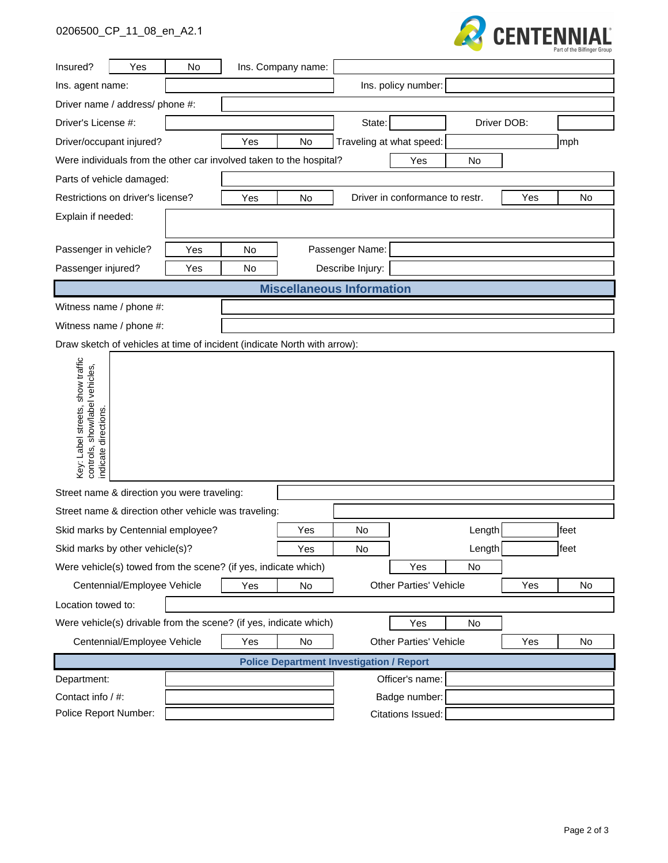## 0206500\_CP\_11\_08\_en\_A2.1



| Insured?                                                                                  | Yes                         | No  |                                                      | Ins. Company name:                              |                                 |                               |             |     |      |
|-------------------------------------------------------------------------------------------|-----------------------------|-----|------------------------------------------------------|-------------------------------------------------|---------------------------------|-------------------------------|-------------|-----|------|
| Ins. agent name:                                                                          |                             |     |                                                      |                                                 |                                 | Ins. policy number:           |             |     |      |
| Driver name / address/ phone #:                                                           |                             |     |                                                      |                                                 |                                 |                               |             |     |      |
| Driver's License #:                                                                       |                             |     |                                                      |                                                 | State:                          |                               | Driver DOB: |     |      |
| Driver/occupant injured?                                                                  |                             |     | Yes                                                  | No                                              |                                 | Traveling at what speed:      |             |     | mph  |
| Were individuals from the other car involved taken to the hospital?                       |                             |     |                                                      |                                                 |                                 | Yes                           | No          |     |      |
|                                                                                           | Parts of vehicle damaged:   |     |                                                      |                                                 |                                 |                               |             |     |      |
| Restrictions on driver's license?                                                         |                             |     | Yes<br>No                                            |                                                 | Driver in conformance to restr. |                               | Yes         | No  |      |
| Explain if needed:                                                                        |                             |     |                                                      |                                                 |                                 |                               |             |     |      |
|                                                                                           |                             |     |                                                      |                                                 |                                 |                               |             |     |      |
| Passenger in vehicle?                                                                     |                             | Yes | <b>No</b>                                            |                                                 | Passenger Name:                 |                               |             |     |      |
| Passenger injured?                                                                        |                             | Yes | No                                                   |                                                 | Describe Injury:                |                               |             |     |      |
|                                                                                           |                             |     |                                                      | <b>Miscellaneous Information</b>                |                                 |                               |             |     |      |
| Witness name / phone #:                                                                   |                             |     |                                                      |                                                 |                                 |                               |             |     |      |
| Witness name / phone #:                                                                   |                             |     |                                                      |                                                 |                                 |                               |             |     |      |
| Draw sketch of vehicles at time of incident (indicate North with arrow):                  |                             |     |                                                      |                                                 |                                 |                               |             |     |      |
| Key: Label streets, show traffic<br>controls, show/label vehicles,<br>indicate directions |                             |     |                                                      |                                                 |                                 |                               |             |     |      |
| Street name & direction you were traveling:                                               |                             |     |                                                      |                                                 |                                 |                               |             |     |      |
|                                                                                           |                             |     | Street name & direction other vehicle was traveling: |                                                 |                                 |                               |             |     |      |
| Skid marks by Centennial employee?                                                        |                             |     |                                                      | Yes                                             | No                              |                               | Length      |     | feet |
| Skid marks by other vehicle(s)?                                                           |                             |     |                                                      | Yes                                             | No                              |                               | Length      |     | feet |
| Were vehicle(s) towed from the scene? (if yes, indicate which)                            |                             |     |                                                      |                                                 |                                 | Yes                           | No          |     |      |
|                                                                                           | Centennial/Employee Vehicle |     | Yes                                                  | No                                              |                                 | <b>Other Parties' Vehicle</b> |             | Yes | No   |
| Location towed to:                                                                        |                             |     |                                                      |                                                 |                                 |                               |             |     |      |
| Were vehicle(s) drivable from the scene? (if yes, indicate which)                         |                             |     |                                                      |                                                 | Yes                             | No                            |             |     |      |
| Centennial/Employee Vehicle                                                               |                             |     | Yes<br>No                                            |                                                 | <b>Other Parties' Vehicle</b>   |                               |             | Yes | No   |
|                                                                                           |                             |     |                                                      | <b>Police Department Investigation / Report</b> |                                 |                               |             |     |      |
| Department:                                                                               |                             |     |                                                      |                                                 |                                 | Officer's name:               |             |     |      |
| Contact info / #:                                                                         |                             |     |                                                      |                                                 |                                 | Badge number:                 |             |     |      |
|                                                                                           | Police Report Number:       |     |                                                      | Citations Issued:                               |                                 |                               |             |     |      |